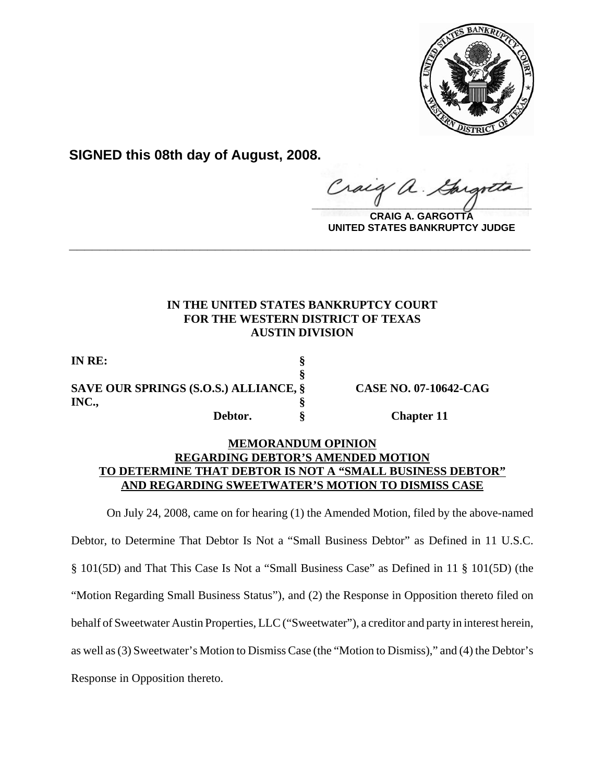

**SIGNED this 08th day of August, 2008.**

 $\frac{1}{2}$ 

**CRAIG A. GARGOTTA UNITED STATES BANKRUPTCY JUDGE**

# **IN THE UNITED STATES BANKRUPTCY COURT FOR THE WESTERN DISTRICT OF TEXAS AUSTIN DIVISION**

**\_\_\_\_\_\_\_\_\_\_\_\_\_\_\_\_\_\_\_\_\_\_\_\_\_\_\_\_\_\_\_\_\_\_\_\_\_\_\_\_\_\_\_\_\_\_\_\_\_\_\_\_\_\_\_\_\_\_\_\_**

**§**

**IN RE: § SAVE OUR SPRINGS (S.O.S.) ALLIANCE, § CASE NO. 07-10642-CAG INC., §**

**Debtor. § Chapter 11**

## **MEMORANDUM OPINION REGARDING DEBTOR'S AMENDED MOTION TO DETERMINE THAT DEBTOR IS NOT A "SMALL BUSINESS DEBTOR" AND REGARDING SWEETWATER'S MOTION TO DISMISS CASE**

On July 24, 2008, came on for hearing (1) the Amended Motion, filed by the above-named

Debtor, to Determine That Debtor Is Not a "Small Business Debtor" as Defined in 11 U.S.C.

§ 101(5D) and That This Case Is Not a "Small Business Case" as Defined in 11 § 101(5D) (the

"Motion Regarding Small Business Status"), and (2) the Response in Opposition thereto filed on

behalf of Sweetwater Austin Properties, LLC ("Sweetwater"), a creditor and party in interest herein,

as well as (3) Sweetwater's Motion to Dismiss Case (the "Motion to Dismiss)," and (4) the Debtor's

Response in Opposition thereto.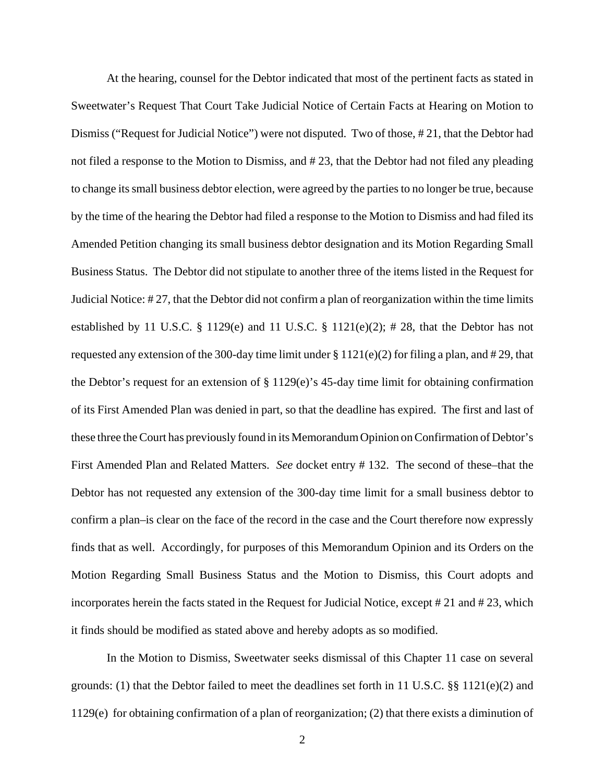At the hearing, counsel for the Debtor indicated that most of the pertinent facts as stated in Sweetwater's Request That Court Take Judicial Notice of Certain Facts at Hearing on Motion to Dismiss ("Request for Judicial Notice") were not disputed. Two of those, # 21, that the Debtor had not filed a response to the Motion to Dismiss, and # 23, that the Debtor had not filed any pleading to change its small business debtor election, were agreed by the parties to no longer be true, because by the time of the hearing the Debtor had filed a response to the Motion to Dismiss and had filed its Amended Petition changing its small business debtor designation and its Motion Regarding Small Business Status. The Debtor did not stipulate to another three of the items listed in the Request for Judicial Notice: # 27, that the Debtor did not confirm a plan of reorganization within the time limits established by 11 U.S.C.  $\S$  1129(e) and 11 U.S.C.  $\S$  1121(e)(2); # 28, that the Debtor has not requested any extension of the 300-day time limit under  $\S 1121(e)(2)$  for filing a plan, and # 29, that the Debtor's request for an extension of  $\S 1129(e)$ 's 45-day time limit for obtaining confirmation of its First Amended Plan was denied in part, so that the deadline has expired. The first and last of these three the Court has previously found in its Memorandum Opinion on Confirmation of Debtor's First Amended Plan and Related Matters. *See* docket entry # 132. The second of these–that the Debtor has not requested any extension of the 300-day time limit for a small business debtor to confirm a plan–is clear on the face of the record in the case and the Court therefore now expressly finds that as well. Accordingly, for purposes of this Memorandum Opinion and its Orders on the Motion Regarding Small Business Status and the Motion to Dismiss, this Court adopts and incorporates herein the facts stated in the Request for Judicial Notice, except # 21 and # 23, which it finds should be modified as stated above and hereby adopts as so modified.

In the Motion to Dismiss, Sweetwater seeks dismissal of this Chapter 11 case on several grounds: (1) that the Debtor failed to meet the deadlines set forth in 11 U.S.C.  $\S$  1121(e)(2) and 1129(e) for obtaining confirmation of a plan of reorganization; (2) that there exists a diminution of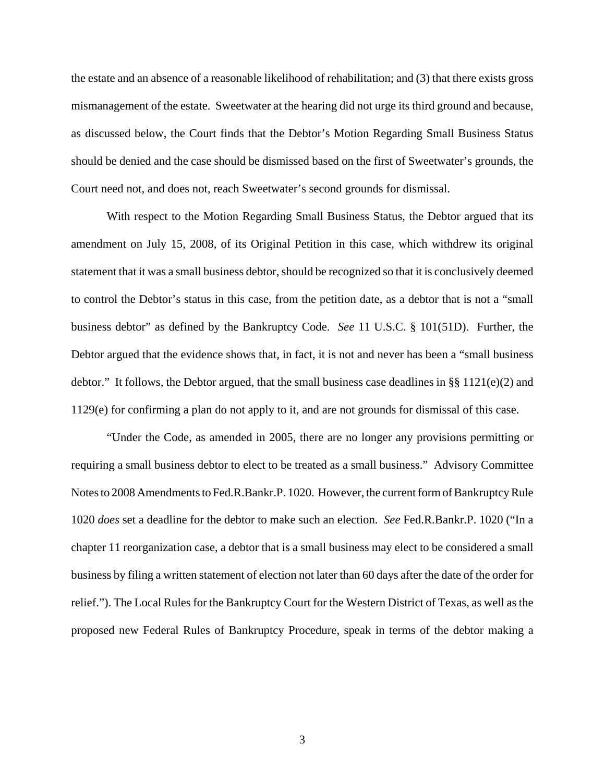the estate and an absence of a reasonable likelihood of rehabilitation; and (3) that there exists gross mismanagement of the estate. Sweetwater at the hearing did not urge its third ground and because, as discussed below, the Court finds that the Debtor's Motion Regarding Small Business Status should be denied and the case should be dismissed based on the first of Sweetwater's grounds, the Court need not, and does not, reach Sweetwater's second grounds for dismissal.

With respect to the Motion Regarding Small Business Status, the Debtor argued that its amendment on July 15, 2008, of its Original Petition in this case, which withdrew its original statement that it was a small business debtor, should be recognized so that it is conclusively deemed to control the Debtor's status in this case, from the petition date, as a debtor that is not a "small business debtor" as defined by the Bankruptcy Code. *See* 11 U.S.C. § 101(51D). Further, the Debtor argued that the evidence shows that, in fact, it is not and never has been a "small business debtor." It follows, the Debtor argued, that the small business case deadlines in §§ 1121(e)(2) and 1129(e) for confirming a plan do not apply to it, and are not grounds for dismissal of this case.

"Under the Code, as amended in 2005, there are no longer any provisions permitting or requiring a small business debtor to elect to be treated as a small business." Advisory Committee Notes to 2008 Amendments to Fed.R.Bankr.P. 1020. However, the current form of Bankruptcy Rule 1020 *does* set a deadline for the debtor to make such an election. *See* Fed.R.Bankr.P. 1020 ("In a chapter 11 reorganization case, a debtor that is a small business may elect to be considered a small business by filing a written statement of election not later than 60 days after the date of the order for relief."). The Local Rules for the Bankruptcy Court for the Western District of Texas, as well as the proposed new Federal Rules of Bankruptcy Procedure, speak in terms of the debtor making a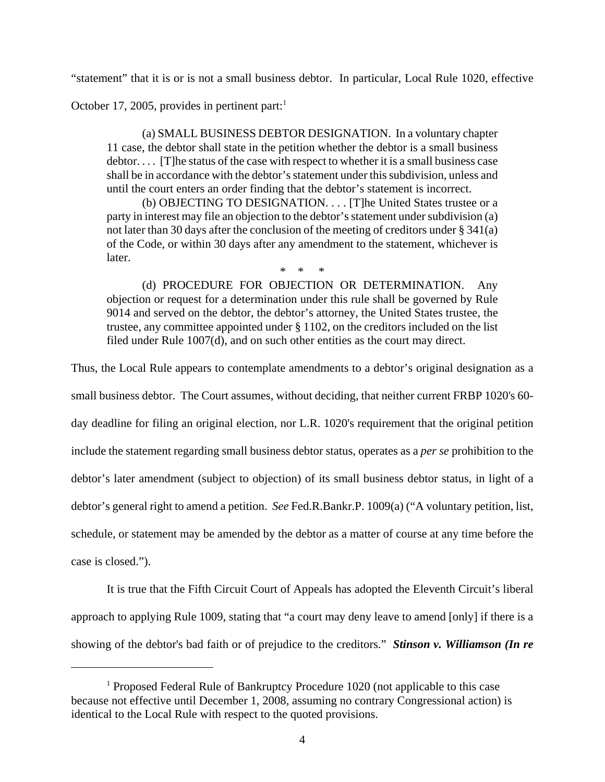"statement" that it is or is not a small business debtor. In particular, Local Rule 1020, effective

October 17, 2005, provides in pertinent part: $<sup>1</sup>$ </sup>

(a) SMALL BUSINESS DEBTOR DESIGNATION. In a voluntary chapter 11 case, the debtor shall state in the petition whether the debtor is a small business  $\text{dektor} \dots$  [T]he status of the case with respect to whether it is a small business case shall be in accordance with the debtor's statement under this subdivision, unless and until the court enters an order finding that the debtor's statement is incorrect.

(b) OBJECTING TO DESIGNATION. . . . [T]he United States trustee or a party in interest may file an objection to the debtor's statement under subdivision (a) not later than 30 days after the conclusion of the meeting of creditors under § 341(a) of the Code, or within 30 days after any amendment to the statement, whichever is later.

\* \* \*

(d) PROCEDURE FOR OBJECTION OR DETERMINATION. Any objection or request for a determination under this rule shall be governed by Rule 9014 and served on the debtor, the debtor's attorney, the United States trustee, the trustee, any committee appointed under § 1102, on the creditors included on the list filed under Rule 1007(d), and on such other entities as the court may direct.

Thus, the Local Rule appears to contemplate amendments to a debtor's original designation as a

small business debtor. The Court assumes, without deciding, that neither current FRBP 1020's 60-

day deadline for filing an original election, nor L.R. 1020's requirement that the original petition

include the statement regarding small business debtor status, operates as a *per se* prohibition to the

debtor's later amendment (subject to objection) of its small business debtor status, in light of a

debtor's general right to amend a petition. *See* Fed.R.Bankr.P. 1009(a) ("A voluntary petition, list,

schedule, or statement may be amended by the debtor as a matter of course at any time before the

case is closed.").

It is true that the Fifth Circuit Court of Appeals has adopted the Eleventh Circuit's liberal approach to applying Rule 1009, stating that "a court may deny leave to amend [only] if there is a showing of the debtor's bad faith or of prejudice to the creditors." *Stinson v. Williamson (In re*

<sup>&</sup>lt;sup>1</sup> Proposed Federal Rule of Bankruptcy Procedure 1020 (not applicable to this case because not effective until December 1, 2008, assuming no contrary Congressional action) is identical to the Local Rule with respect to the quoted provisions.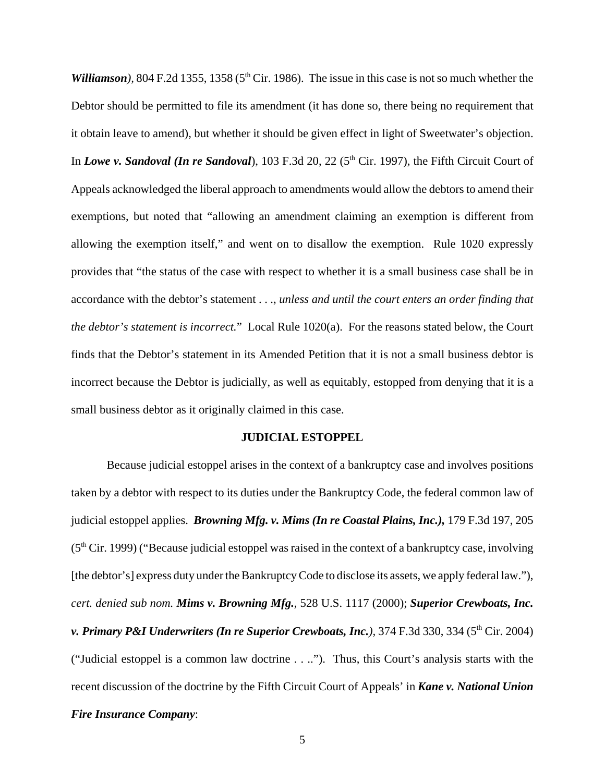*Williamson*), 804 F.2d 1355, 1358 ( $5<sup>th</sup>$  Cir. 1986). The issue in this case is not so much whether the Debtor should be permitted to file its amendment (it has done so, there being no requirement that it obtain leave to amend), but whether it should be given effect in light of Sweetwater's objection. In *Lowe v. Sandoval (In re Sandoval)*, 103 F.3d 20, 22 (5<sup>th</sup> Cir. 1997), the Fifth Circuit Court of Appeals acknowledged the liberal approach to amendments would allow the debtors to amend their exemptions, but noted that "allowing an amendment claiming an exemption is different from allowing the exemption itself," and went on to disallow the exemption. Rule 1020 expressly provides that "the status of the case with respect to whether it is a small business case shall be in accordance with the debtor's statement . . ., *unless and until the court enters an order finding that the debtor's statement is incorrect.*" Local Rule 1020(a). For the reasons stated below, the Court finds that the Debtor's statement in its Amended Petition that it is not a small business debtor is incorrect because the Debtor is judicially, as well as equitably, estopped from denying that it is a small business debtor as it originally claimed in this case.

#### **JUDICIAL ESTOPPEL**

Because judicial estoppel arises in the context of a bankruptcy case and involves positions taken by a debtor with respect to its duties under the Bankruptcy Code, the federal common law of judicial estoppel applies. *Browning Mfg. v. Mims (In re Coastal Plains, Inc.),* 179 F.3d 197, 205  $(5<sup>th</sup> Cir. 1999)$  ("Because judicial estoppel was raised in the context of a bankruptcy case, involving [the debtor's] express duty under the Bankruptcy Code to disclose its assets, we apply federal law."), *cert. denied sub nom. Mims v. Browning Mfg.,* 528 U.S. 1117 (2000); *Superior Crewboats, Inc. v. Primary P&I Underwriters (In re Superior Crewboats, Inc.),* 374 F.3d 330, 334 (5<sup>th</sup> Cir. 2004) ("Judicial estoppel is a common law doctrine . . .."). Thus, this Court's analysis starts with the recent discussion of the doctrine by the Fifth Circuit Court of Appeals' in *Kane v. National Union Fire Insurance Company*: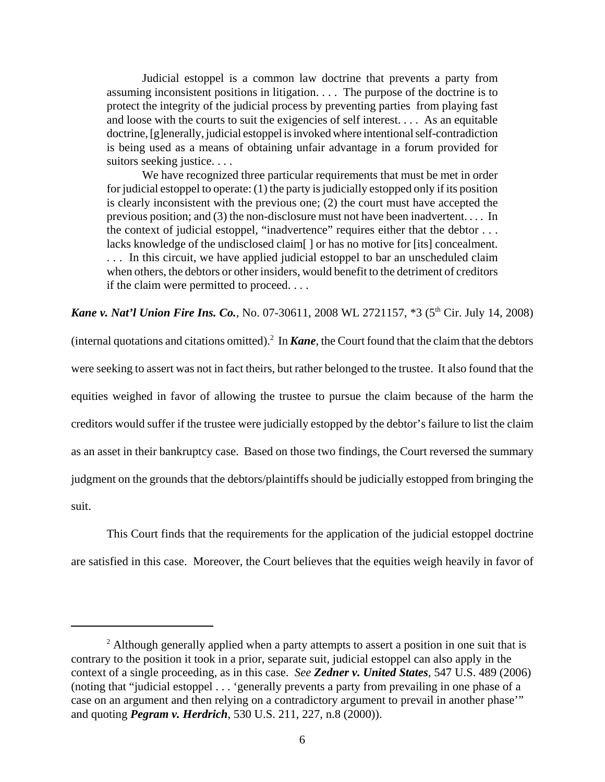Judicial estoppel is a common law doctrine that prevents a party from assuming inconsistent positions in litigation. . . . The purpose of the doctrine is to protect the integrity of the judicial process by preventing parties from playing fast and loose with the courts to suit the exigencies of self interest. . . . As an equitable doctrine, [g]enerally, judicial estoppel is invoked where intentional self-contradiction is being used as a means of obtaining unfair advantage in a forum provided for suitors seeking justice. . . .

We have recognized three particular requirements that must be met in order for judicial estoppel to operate: (1) the party is judicially estopped only if its position is clearly inconsistent with the previous one; (2) the court must have accepted the previous position; and (3) the non-disclosure must not have been inadvertent. . . . In the context of judicial estoppel, "inadvertence" requires either that the debtor . . . lacks knowledge of the undisclosed claim[ ] or has no motive for [its] concealment. . . . In this circuit, we have applied judicial estoppel to bar an unscheduled claim when others, the debtors or other insiders, would benefit to the detriment of creditors if the claim were permitted to proceed. . . .

**Kane v. Nat'l Union Fire Ins. Co.**, No. 07-30611, 2008 WL 2721157, \*3 (5<sup>th</sup> Cir. July 14, 2008)

(internal quotations and citations omitted).<sup>2</sup> In *Kane*, the Court found that the claim that the debtors were seeking to assert was not in fact theirs, but rather belonged to the trustee. It also found that the equities weighed in favor of allowing the trustee to pursue the claim because of the harm the creditors would suffer if the trustee were judicially estopped by the debtor's failure to list the claim as an asset in their bankruptcy case. Based on those two findings, the Court reversed the summary judgment on the grounds that the debtors/plaintiffs should be judicially estopped from bringing the suit.

This Court finds that the requirements for the application of the judicial estoppel doctrine are satisfied in this case. Moreover, the Court believes that the equities weigh heavily in favor of

 $2$  Although generally applied when a party attempts to assert a position in one suit that is contrary to the position it took in a prior, separate suit, judicial estoppel can also apply in the context of a single proceeding, as in this case. *See Zedner v. United States,* 547 U.S. 489 (2006) (noting that "judicial estoppel . . . 'generally prevents a party from prevailing in one phase of a case on an argument and then relying on a contradictory argument to prevail in another phase'" and quoting *Pegram v. Herdrich*, 530 U.S. 211, 227, n.8 (2000)).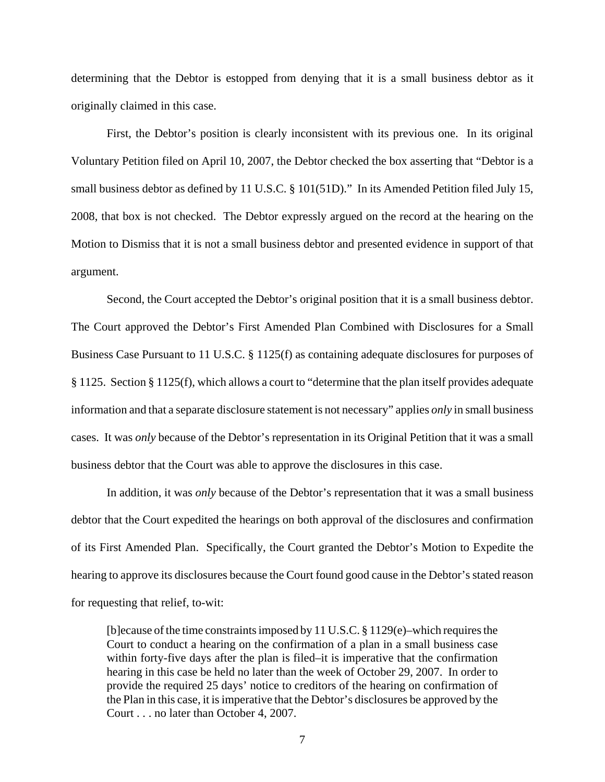determining that the Debtor is estopped from denying that it is a small business debtor as it originally claimed in this case.

First, the Debtor's position is clearly inconsistent with its previous one. In its original Voluntary Petition filed on April 10, 2007, the Debtor checked the box asserting that "Debtor is a small business debtor as defined by 11 U.S.C. § 101(51D)." In its Amended Petition filed July 15, 2008, that box is not checked. The Debtor expressly argued on the record at the hearing on the Motion to Dismiss that it is not a small business debtor and presented evidence in support of that argument.

Second, the Court accepted the Debtor's original position that it is a small business debtor. The Court approved the Debtor's First Amended Plan Combined with Disclosures for a Small Business Case Pursuant to 11 U.S.C. § 1125(f) as containing adequate disclosures for purposes of § 1125. Section § 1125(f), which allows a court to "determine that the plan itself provides adequate information and that a separate disclosure statement is not necessary" applies *only* in small business cases. It was *only* because of the Debtor's representation in its Original Petition that it was a small business debtor that the Court was able to approve the disclosures in this case.

In addition, it was *only* because of the Debtor's representation that it was a small business debtor that the Court expedited the hearings on both approval of the disclosures and confirmation of its First Amended Plan. Specifically, the Court granted the Debtor's Motion to Expedite the hearing to approve its disclosures because the Court found good cause in the Debtor's stated reason for requesting that relief, to-wit:

[b]ecause of the time constraints imposed by 11 U.S.C. § 1129(e)–which requires the Court to conduct a hearing on the confirmation of a plan in a small business case within forty-five days after the plan is filed–it is imperative that the confirmation hearing in this case be held no later than the week of October 29, 2007. In order to provide the required 25 days' notice to creditors of the hearing on confirmation of the Plan in this case, it is imperative that the Debtor's disclosures be approved by the Court . . . no later than October 4, 2007.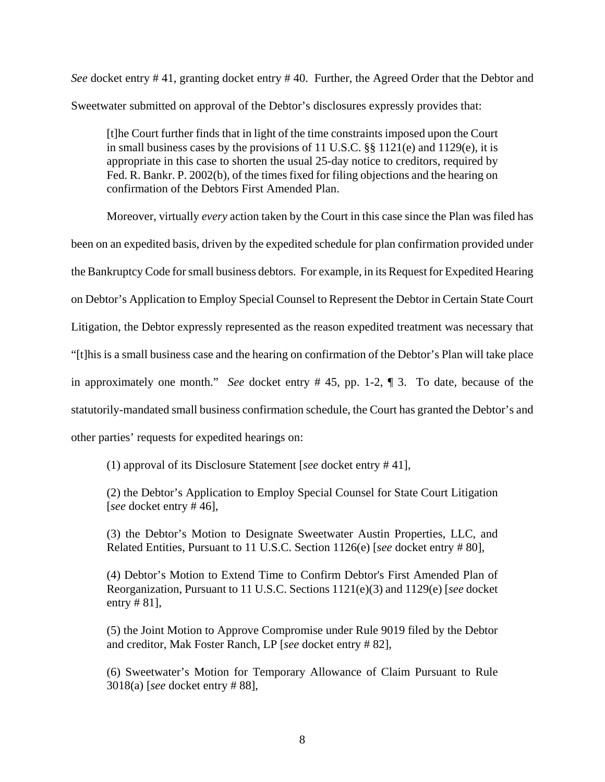*See* docket entry # 41, granting docket entry # 40. Further, the Agreed Order that the Debtor and Sweetwater submitted on approval of the Debtor's disclosures expressly provides that:

[t]he Court further finds that in light of the time constraints imposed upon the Court in small business cases by the provisions of 11 U.S.C. §§ 1121(e) and 1129(e), it is appropriate in this case to shorten the usual 25-day notice to creditors, required by Fed. R. Bankr. P. 2002(b), of the times fixed for filing objections and the hearing on confirmation of the Debtors First Amended Plan.

Moreover, virtually *every* action taken by the Court in this case since the Plan was filed has been on an expedited basis, driven by the expedited schedule for plan confirmation provided under the Bankruptcy Code for small business debtors. For example, in its Request for Expedited Hearing on Debtor's Application to Employ Special Counsel to Represent the Debtor in Certain State Court Litigation, the Debtor expressly represented as the reason expedited treatment was necessary that "[t]his is a small business case and the hearing on confirmation of the Debtor's Plan will take place in approximately one month." *See* docket entry # 45, pp. 1-2, ¶ 3. To date, because of the statutorily-mandated small business confirmation schedule, the Court has granted the Debtor's and other parties' requests for expedited hearings on:

(1) approval of its Disclosure Statement [*see* docket entry # 41],

(2) the Debtor's Application to Employ Special Counsel for State Court Litigation [*see* docket entry # 46],

(3) the Debtor's Motion to Designate Sweetwater Austin Properties, LLC, and Related Entities, Pursuant to 11 U.S.C. Section 1126(e) [*see* docket entry # 80],

(4) Debtor's Motion to Extend Time to Confirm Debtor's First Amended Plan of Reorganization, Pursuant to 11 U.S.C. Sections 1121(e)(3) and 1129(e) [*see* docket entry # 81],

(5) the Joint Motion to Approve Compromise under Rule 9019 filed by the Debtor and creditor, Mak Foster Ranch, LP [*see* docket entry # 82],

(6) Sweetwater's Motion for Temporary Allowance of Claim Pursuant to Rule 3018(a) [*see* docket entry # 88],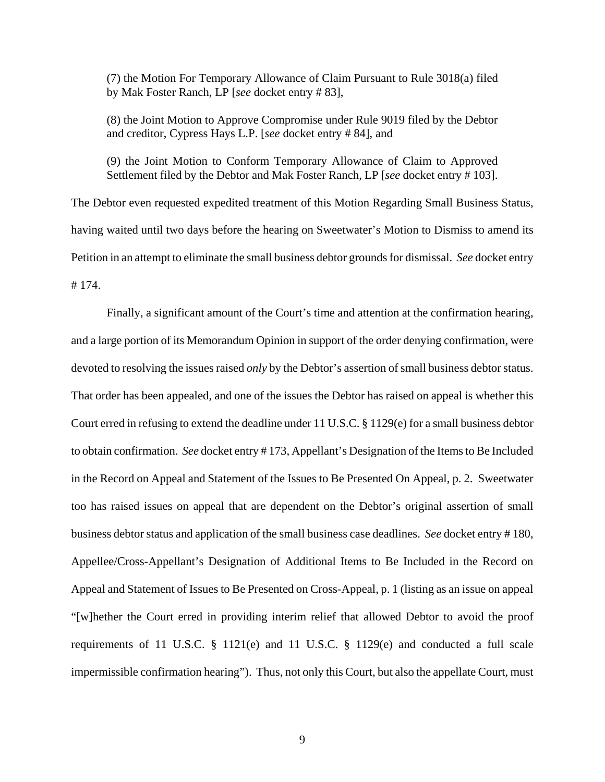(7) the Motion For Temporary Allowance of Claim Pursuant to Rule 3018(a) filed by Mak Foster Ranch, LP [*see* docket entry # 83],

(8) the Joint Motion to Approve Compromise under Rule 9019 filed by the Debtor and creditor, Cypress Hays L.P. [*see* docket entry # 84], and

(9) the Joint Motion to Conform Temporary Allowance of Claim to Approved Settlement filed by the Debtor and Mak Foster Ranch, LP [*see* docket entry # 103].

The Debtor even requested expedited treatment of this Motion Regarding Small Business Status, having waited until two days before the hearing on Sweetwater's Motion to Dismiss to amend its Petition in an attempt to eliminate the small business debtor grounds for dismissal. *See* docket entry # 174.

Finally, a significant amount of the Court's time and attention at the confirmation hearing, and a large portion of its Memorandum Opinion in support of the order denying confirmation, were devoted to resolving the issues raised *only* by the Debtor's assertion of small business debtor status. That order has been appealed, and one of the issues the Debtor has raised on appeal is whether this Court erred in refusing to extend the deadline under 11 U.S.C. § 1129(e) for a small business debtor to obtain confirmation. *See* docket entry # 173, Appellant's Designation of the Items to Be Included in the Record on Appeal and Statement of the Issues to Be Presented On Appeal, p. 2. Sweetwater too has raised issues on appeal that are dependent on the Debtor's original assertion of small business debtor status and application of the small business case deadlines. *See* docket entry # 180, Appellee/Cross-Appellant's Designation of Additional Items to Be Included in the Record on Appeal and Statement of Issues to Be Presented on Cross-Appeal, p. 1 (listing as an issue on appeal "[w]hether the Court erred in providing interim relief that allowed Debtor to avoid the proof requirements of 11 U.S.C. § 1121(e) and 11 U.S.C. § 1129(e) and conducted a full scale impermissible confirmation hearing"). Thus, not only this Court, but also the appellate Court, must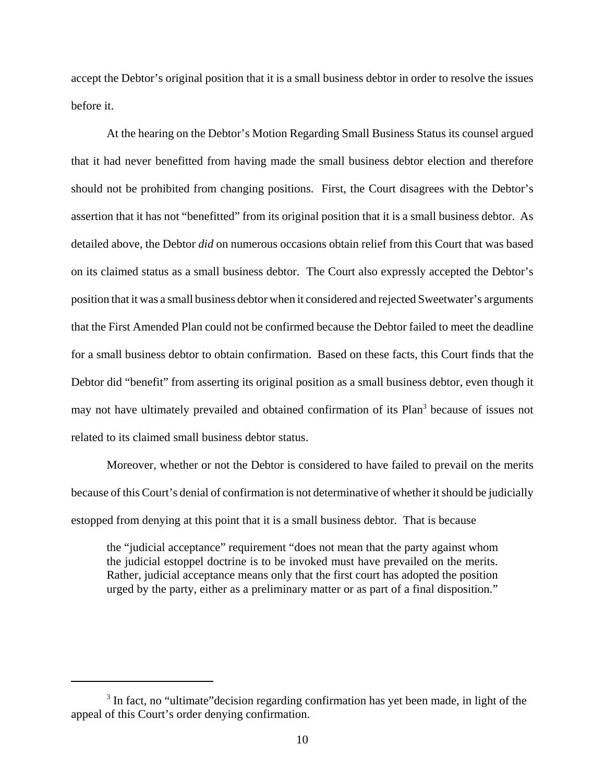accept the Debtor's original position that it is a small business debtor in order to resolve the issues before it.

At the hearing on the Debtor's Motion Regarding Small Business Status its counsel argued that it had never benefitted from having made the small business debtor election and therefore should not be prohibited from changing positions. First, the Court disagrees with the Debtor's assertion that it has not "benefitted" from its original position that it is a small business debtor. As detailed above, the Debtor *did* on numerous occasions obtain relief from this Court that was based on its claimed status as a small business debtor. The Court also expressly accepted the Debtor's position that it was a small business debtor when it considered and rejected Sweetwater's arguments that the First Amended Plan could not be confirmed because the Debtor failed to meet the deadline for a small business debtor to obtain confirmation. Based on these facts, this Court finds that the Debtor did "benefit" from asserting its original position as a small business debtor, even though it may not have ultimately prevailed and obtained confirmation of its Plan<sup>3</sup> because of issues not related to its claimed small business debtor status.

Moreover, whether or not the Debtor is considered to have failed to prevail on the merits because of this Court's denial of confirmation is not determinative of whether it should be judicially estopped from denying at this point that it is a small business debtor. That is because

the "judicial acceptance" requirement "does not mean that the party against whom the judicial estoppel doctrine is to be invoked must have prevailed on the merits. Rather, judicial acceptance means only that the first court has adopted the position urged by the party, either as a preliminary matter or as part of a final disposition."

<sup>&</sup>lt;sup>3</sup> In fact, no "ultimate" decision regarding confirmation has yet been made, in light of the appeal of this Court's order denying confirmation.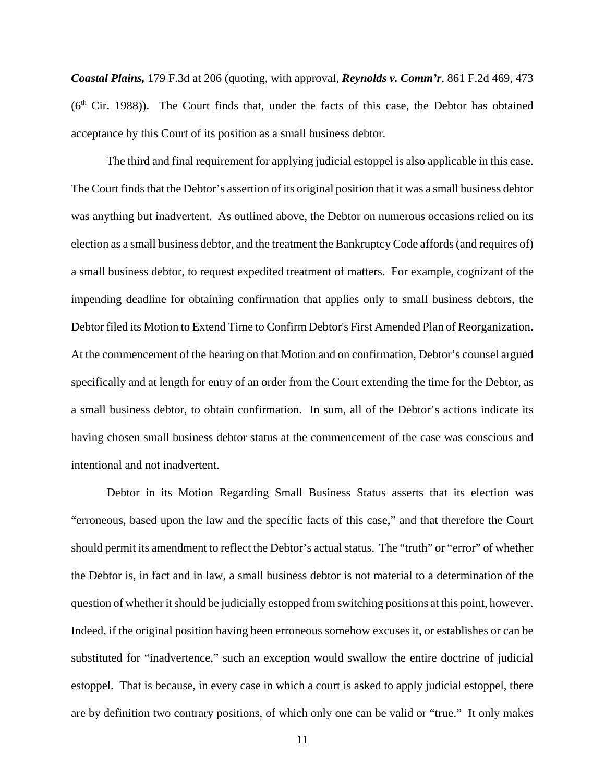*Coastal Plains,* 179 F.3d at 206 (quoting, with approval, *Reynolds v. Comm'r*, 861 F.2d 469, 473  $(6<sup>th</sup> Cir. 1988)$ ). The Court finds that, under the facts of this case, the Debtor has obtained acceptance by this Court of its position as a small business debtor.

The third and final requirement for applying judicial estoppel is also applicable in this case. The Court finds that the Debtor's assertion of its original position that it was a small business debtor was anything but inadvertent. As outlined above, the Debtor on numerous occasions relied on its election as a small business debtor, and the treatment the Bankruptcy Code affords (and requires of) a small business debtor, to request expedited treatment of matters. For example, cognizant of the impending deadline for obtaining confirmation that applies only to small business debtors, the Debtor filed its Motion to Extend Time to Confirm Debtor's First Amended Plan of Reorganization. At the commencement of the hearing on that Motion and on confirmation, Debtor's counsel argued specifically and at length for entry of an order from the Court extending the time for the Debtor, as a small business debtor, to obtain confirmation. In sum, all of the Debtor's actions indicate its having chosen small business debtor status at the commencement of the case was conscious and intentional and not inadvertent.

Debtor in its Motion Regarding Small Business Status asserts that its election was "erroneous, based upon the law and the specific facts of this case," and that therefore the Court should permit its amendment to reflect the Debtor's actual status. The "truth" or "error" of whether the Debtor is, in fact and in law, a small business debtor is not material to a determination of the question of whether it should be judicially estopped from switching positions at this point, however. Indeed, if the original position having been erroneous somehow excuses it, or establishes or can be substituted for "inadvertence," such an exception would swallow the entire doctrine of judicial estoppel. That is because, in every case in which a court is asked to apply judicial estoppel, there are by definition two contrary positions, of which only one can be valid or "true." It only makes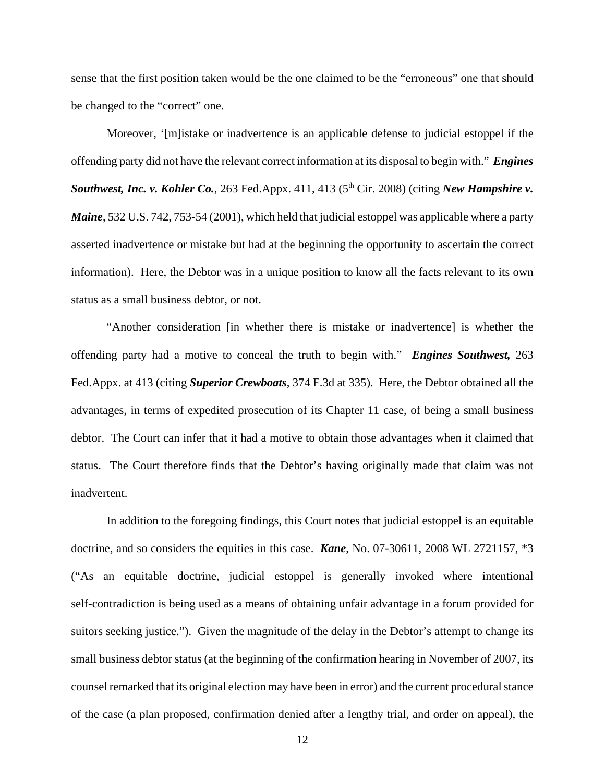sense that the first position taken would be the one claimed to be the "erroneous" one that should be changed to the "correct" one.

Moreover, '[m]istake or inadvertence is an applicable defense to judicial estoppel if the offending party did not have the relevant correct information at its disposal to begin with." *Engines Southwest, Inc. v. Kohler Co., 263 Fed.Appx. 411, 413 (5<sup>th</sup> Cir. 2008) (citing <i>New Hampshire v. Maine*, 532 U.S. 742, 753-54 (2001), which held that judicial estoppel was applicable where a party asserted inadvertence or mistake but had at the beginning the opportunity to ascertain the correct information). Here, the Debtor was in a unique position to know all the facts relevant to its own status as a small business debtor, or not.

"Another consideration [in whether there is mistake or inadvertence] is whether the offending party had a motive to conceal the truth to begin with." *Engines Southwest,* 263 Fed.Appx. at 413 (citing *Superior Crewboats*, 374 F.3d at 335). Here, the Debtor obtained all the advantages, in terms of expedited prosecution of its Chapter 11 case, of being a small business debtor. The Court can infer that it had a motive to obtain those advantages when it claimed that status. The Court therefore finds that the Debtor's having originally made that claim was not inadvertent.

In addition to the foregoing findings, this Court notes that judicial estoppel is an equitable doctrine, and so considers the equities in this case. *Kane*, No. 07-30611, 2008 WL 2721157, \*3 ("As an equitable doctrine, judicial estoppel is generally invoked where intentional self-contradiction is being used as a means of obtaining unfair advantage in a forum provided for suitors seeking justice."). Given the magnitude of the delay in the Debtor's attempt to change its small business debtor status (at the beginning of the confirmation hearing in November of 2007, its counsel remarked that its original election may have been in error) and the current procedural stance of the case (a plan proposed, confirmation denied after a lengthy trial, and order on appeal), the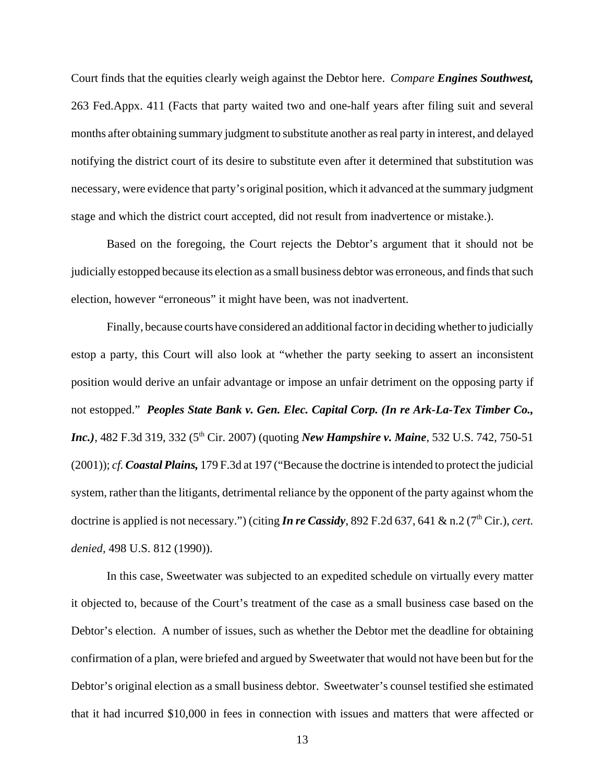Court finds that the equities clearly weigh against the Debtor here. *Compare Engines Southwest,* 263 Fed.Appx. 411 (Facts that party waited two and one-half years after filing suit and several months after obtaining summary judgment to substitute another as real party in interest, and delayed notifying the district court of its desire to substitute even after it determined that substitution was necessary, were evidence that party's original position, which it advanced at the summary judgment stage and which the district court accepted, did not result from inadvertence or mistake.).

Based on the foregoing, the Court rejects the Debtor's argument that it should not be judicially estopped because its election as a small business debtor was erroneous, and finds that such election, however "erroneous" it might have been, was not inadvertent.

Finally, because courts have considered an additional factor in deciding whether to judicially estop a party, this Court will also look at "whether the party seeking to assert an inconsistent position would derive an unfair advantage or impose an unfair detriment on the opposing party if not estopped." *Peoples State Bank v. Gen. Elec. Capital Corp. (In re Ark-La-Tex Timber Co., Inc.*), 482 F.3d 319, 332 (5<sup>th</sup> Cir. 2007) (quoting *New Hampshire v. Maine*, 532 U.S. 742, 750-51 (2001)); *cf. Coastal Plains,* 179 F.3d at 197 ("Because the doctrine is intended to protect the judicial system, rather than the litigants, detrimental reliance by the opponent of the party against whom the doctrine is applied is not necessary.") (citing *In re Cassidy*, 892 F.2d 637, 641 & n.2 (7<sup>th</sup> Cir.), *cert. denied,* 498 U.S. 812 (1990)).

In this case, Sweetwater was subjected to an expedited schedule on virtually every matter it objected to, because of the Court's treatment of the case as a small business case based on the Debtor's election. A number of issues, such as whether the Debtor met the deadline for obtaining confirmation of a plan, were briefed and argued by Sweetwater that would not have been but for the Debtor's original election as a small business debtor. Sweetwater's counsel testified she estimated that it had incurred \$10,000 in fees in connection with issues and matters that were affected or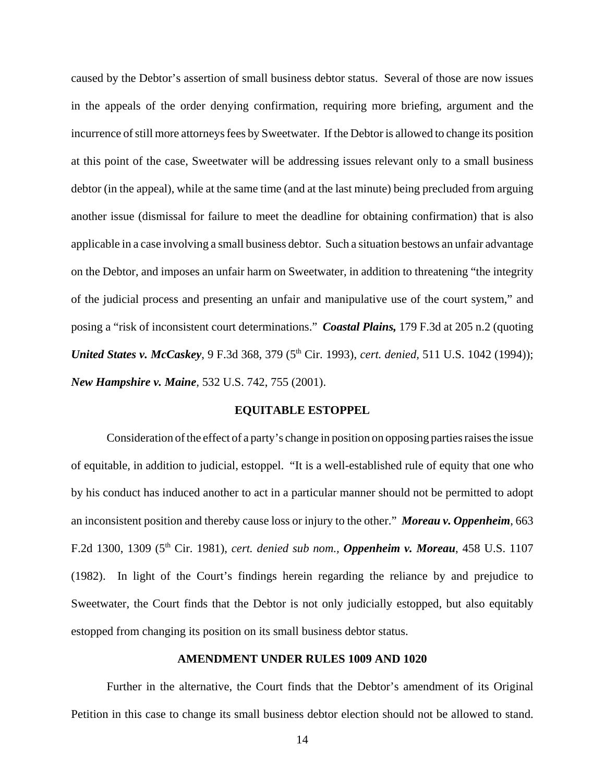caused by the Debtor's assertion of small business debtor status. Several of those are now issues in the appeals of the order denying confirmation, requiring more briefing, argument and the incurrence of still more attorneys fees by Sweetwater. If the Debtor is allowed to change its position at this point of the case, Sweetwater will be addressing issues relevant only to a small business debtor (in the appeal), while at the same time (and at the last minute) being precluded from arguing another issue (dismissal for failure to meet the deadline for obtaining confirmation) that is also applicable in a case involving a small business debtor. Such a situation bestows an unfair advantage on the Debtor, and imposes an unfair harm on Sweetwater, in addition to threatening "the integrity of the judicial process and presenting an unfair and manipulative use of the court system," and posing a "risk of inconsistent court determinations." *Coastal Plains,* 179 F.3d at 205 n.2 (quoting *United States v. McCaskey*, 9 F.3d 368, 379 (5<sup>th</sup> Cir. 1993), *cert. denied*, 511 U.S. 1042 (1994)); *New Hampshire v. Maine,* 532 U.S. 742, 755 (2001).

#### **EQUITABLE ESTOPPEL**

Consideration of the effect of a party's change in position on opposing parties raises the issue of equitable, in addition to judicial, estoppel. "It is a well-established rule of equity that one who by his conduct has induced another to act in a particular manner should not be permitted to adopt an inconsistent position and thereby cause loss or injury to the other." *Moreau v. Oppenheim*, 663 F.2d 1300, 1309 (5th Cir. 1981), *cert. denied sub nom., Oppenheim v. Moreau*, 458 U.S. 1107 (1982). In light of the Court's findings herein regarding the reliance by and prejudice to Sweetwater, the Court finds that the Debtor is not only judicially estopped, but also equitably estopped from changing its position on its small business debtor status.

### **AMENDMENT UNDER RULES 1009 AND 1020**

Further in the alternative, the Court finds that the Debtor's amendment of its Original Petition in this case to change its small business debtor election should not be allowed to stand.